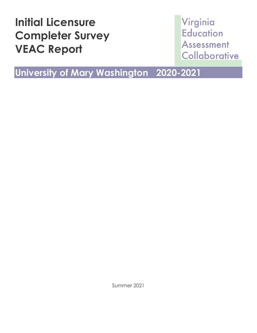# **Initial Licensure Completer Survey VEAC Report**

## Virginia **Education Assessment** Collaborative

## **University of Mary Washington 2020-2021**

Summer 2021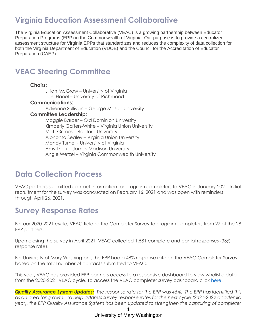## **Virginia Education Assessment Collaborative**

The Virginia Education Assessment Collaborative (VEAC) is a growing partnership between Educator Preparation Programs (EPP) in the Commonwealth of Virginia. Our purpose is to provide a centralized assessment structure for Virginia EPPs that standardizes and reduces the complexity of data collection for both the Virginia Department of Education (VDOE) and the Council for the Accreditation of Educator Preparation (CAEP).

### **VEAC Steering Committee**

#### **Chairs:**

Jillian McGraw – University of Virginia Joel Hanel – University of Richmond

#### **Communications:**

Adrienne Sullivan – George Mason University

#### **Committee Leadership:**

Maggie Barber – Old Dominion University Kimberly Gaiters-White – Virginia Union University Matt Grimes – Radford University Alphonso Sealey – Virginia Union University Mandy Turner - University of Virginia Amy Thelk – James Madison University Angie Wetzel – Virginia Commonwealth University

### **Data Collection Process**

VEAC partners submitted contact information for program completers to VEAC in January 2021. Initial recruitment for the survey was conducted on February 16, 2021 and was open with reminders through April 26, 2021.

### **Survey Response Rates**

For our 2020-2021 cycle, VEAC fielded the Completer Survey to program completers from 27 of the 28 EPP partners.

Upon closing the survey in April 2021, VEAC collected 1,581 complete and partial responses (33% response rate).

For University of Mary Washington , the EPP had a 48% response rate on the VEAC Completer Survey based on the total number of contacts submitted to VEAC.

This year, VEAC has provided EPP partners access to a responsive dashboard to view wholistic data from the 2020-2021 VEAC cycle. To access the VEAC completer survey dashboard click [here.](https://projectveac.org/documentationnew)

*Quality Assurance System Updates: The response rate for the EPP was 45%. The EPP has identified this as an area for growth. To help address survey response rates for the next cycle (2021-2022 academic year), the EPP Quality Assurance System has been updated to strengthen the capturing of completer*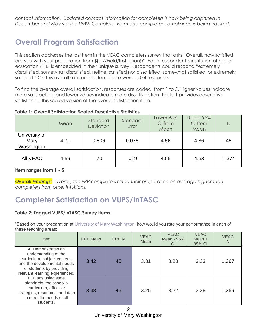*contact information. Updated contact information for completers is now being captured in December and May via the UMW Completer Form and completer compliance is being tracked.* 

## **Overall Program Satisfaction**

This section addresses the last item in the VEAC completers survey that asks "Overall, how satisfied are you with your preparation from \${e://Field/Institution}?" Each respondent's institution of higher education (IHE) is embedded in their unique survey. Respondents could respond "extremely dissatisfied, somewhat dissatisfied, neither satisfied nor dissatisfied, somewhat satisfied, or extremely satisfied." On this overall satisfaction item, there were 1,374 responses.

To find the average overall satisfaction, responses are coded, from 1 to 5. Higher values indicate more satisfaction, and lower values indicate more dissatisfaction. Table 1 provides descriptive statistics on this scaled version of the overall satisfaction item.

#### **Table 1: Overall Satisfaction Scaled Descriptive Statistics**

|                                     | Mean | Standard<br>Deviation | Standard<br>Error | Lower 95%<br>CI from<br>Mean | Upper 95%<br>CI from<br>Mean | N     |
|-------------------------------------|------|-----------------------|-------------------|------------------------------|------------------------------|-------|
| University of<br>Mary<br>Washington | 4.71 | 0.506                 | 0.075             | 4.56                         | 4.86                         | 45    |
| All VEAC                            | 4.59 | .70                   | .019              | 4.55                         | 4.63                         | 1,374 |

**Item ranges from 1 - 5**

*Overall Findings: Overall, the EPP completers rated their preparation on average higher than completers from other intuitions.*

## **Completer Satisfaction on VUPS/InTASC**

#### **Table 2: Tagged VUPS/InTASC Survey Items**

"Based on your preparation at University of Mary Washington, how would you rate your performance in each of these teaching areas:

| Item                                                                                                                                                                    | <b>EPP Mean</b> | EPP <sub>N</sub> | <b>VEAC</b><br>Mean | <b>VEAC</b><br>Mean - 95%<br><b>CI</b> | <b>VEAC</b><br>Mean $+$<br>95% CI | <b>VEAC</b><br>N |
|-------------------------------------------------------------------------------------------------------------------------------------------------------------------------|-----------------|------------------|---------------------|----------------------------------------|-----------------------------------|------------------|
| A: Demonstrates an<br>understanding of the<br>curriculum, subject content,<br>and the developmental needs<br>of students by providing<br>relevant learning experiences. | 3.42            | 45               | 3.31                | 3.28                                   | 3.33                              | 1,367            |
| B: Plans using state<br>standards, the school's<br>curriculum, effective<br>strategies, resources, and data<br>to meet the needs of all<br>students.                    | 3.38            | 45               | 3.25                | 3.22                                   | 3.28                              | 1,359            |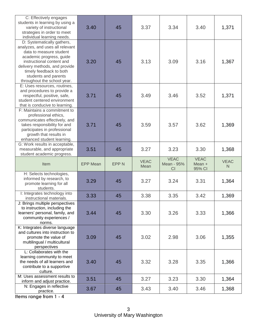| C: Effectively engages<br>students in learning by using a<br>variety of instructional<br>strategies in order to meet<br>individual learning needs.                                                                                                                   | 3.40            | 45          | 3.37                | 3.34                            | 3.40                            | 1,371                       |
|----------------------------------------------------------------------------------------------------------------------------------------------------------------------------------------------------------------------------------------------------------------------|-----------------|-------------|---------------------|---------------------------------|---------------------------------|-----------------------------|
| D: Systematically gathers,<br>analyzes, and uses all relevant<br>data to measure student<br>academic progress, guide<br>instructional content and<br>delivery methods, and provide<br>timely feedback to both<br>students and parents<br>throughout the school year. | 3.20            | 45          | 3.13                | 3.09                            | 3.16                            | 1,367                       |
| E: Uses resources, routines,<br>and procedures to provide a<br>respectful, positive, safe,<br>student centered environment<br>that is conducive to learning.                                                                                                         | 3.71            | 45          | 3.49                | 3.46                            | 3.52                            | 1,371                       |
| F: Maintains a commitment to<br>professional ethics,<br>communicates effectively, and<br>takes responsibility for and<br>participates in professional<br>growth that results in<br>enhanced student learning.                                                        | 3.71            | 45          | 3.59                | 3.57                            | 3.62                            | 1,369                       |
| G: Work results in acceptable,<br>measurable, and appropriate<br>student academic progress.                                                                                                                                                                          | 3.51            | 45          | 3.27                | 3.23                            | 3.30                            | 1,368                       |
| Item                                                                                                                                                                                                                                                                 | <b>EPP Mean</b> | <b>EPPN</b> | <b>VEAC</b><br>Mean | <b>VEAC</b><br>Mean - 95%<br>CI | <b>VEAC</b><br>Mean +<br>95% CI | <b>VEAC</b><br>$\mathsf{N}$ |
| H: Selects technologies,<br>informed by research, to<br>promote learning for all<br>students.                                                                                                                                                                        | 3.29            | 45          | 3.27                | 3.24                            | 3.31                            | 1,364                       |
| I: Integrates technology into<br>instructional materials.                                                                                                                                                                                                            | 3.33            | 45          | 3.38                | 3.35                            | 3.42                            | 1,369                       |
| J: Brings multiple perspectives<br>to instruction, including the<br>learners' personal, family, and<br>community experiences /<br>norms.                                                                                                                             | 3.44            | 45          | 3.30                | 3.26                            | 3.33                            | 1,366                       |
| K: Integrates diverse language<br>and cultures into instruction to<br>promote the value of<br>multilingual / multicultural<br>perspectives                                                                                                                           | 3.09            | 45          | 3.02                | 2.98                            | 3.06                            | 1,355                       |
| L: Collaborates with the<br>learning community to meet<br>the needs of all learners and<br>contribute to a supportive<br>culture.                                                                                                                                    | 3.40            | 45          | 3.32                | 3.28                            | 3.35                            | 1,366                       |
| M: Uses assessment results to<br>inform and adjust practice.                                                                                                                                                                                                         | 3.51            | 45          | 3.27                | 3.23                            | 3.30                            | 1,364                       |
| N: Engages in reflective<br>practice.                                                                                                                                                                                                                                | 3.67            | 45          | 3.43                | 3.40                            | 3.46                            | 1,368                       |

**Items range from 1 - 4**